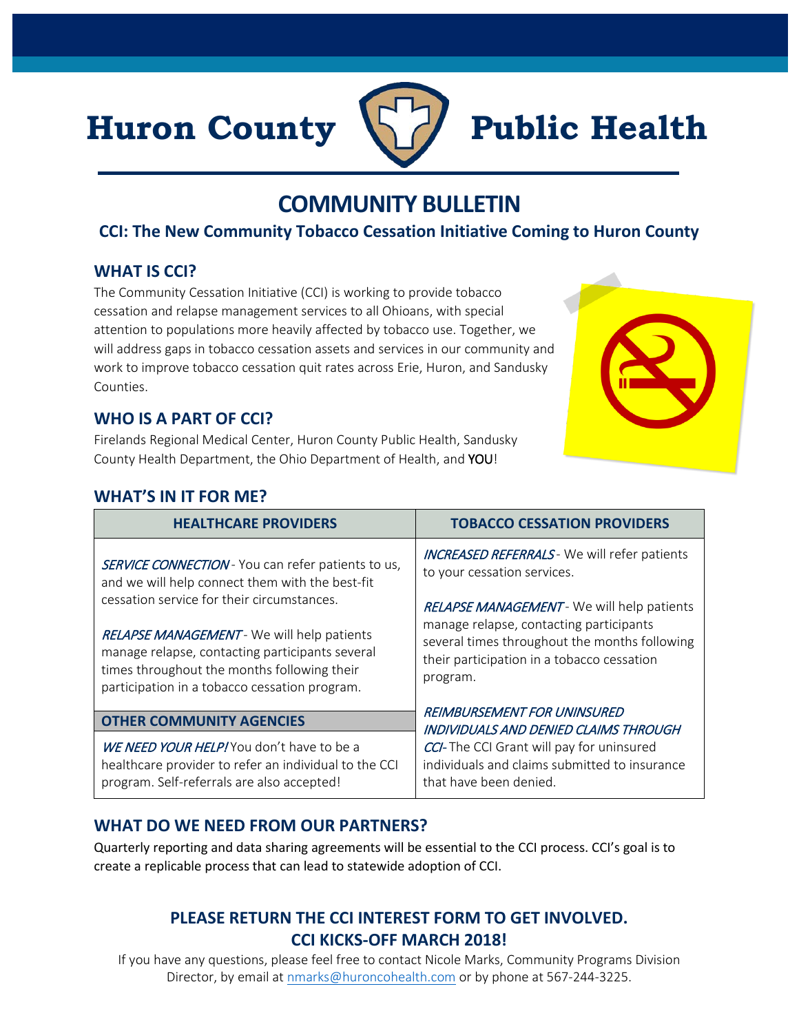# Huron County **Public Health**



# **COMMUNITY BULLETIN**

# **CCI: The New Community Tobacco Cessation Initiative Coming to Huron County**

### **WHAT IS CCI?**

The Community Cessation Initiative (CCI) is working to provide tobacco cessation and relapse management services to all Ohioans, with special attention to populations more heavily affected by tobacco use. Together, we will address gaps in tobacco cessation assets and services in our community and work to improve tobacco cessation quit rates across Erie, Huron, and Sandusky Counties.

### **WHO IS A PART OF CCI?**

Firelands Regional Medical Center, Huron County Public Health, Sandusky County Health Department, the Ohio Department of Health, and YOU!

## **WHAT'S IN IT FOR ME?**

| <b>HEALTHCARE PROVIDERS</b>                                                                                                                                                                   | <b>TOBACCO CESSATION PROVIDERS</b>                                                                                                                                                               |
|-----------------------------------------------------------------------------------------------------------------------------------------------------------------------------------------------|--------------------------------------------------------------------------------------------------------------------------------------------------------------------------------------------------|
| <b>SERVICE CONNECTION</b> - You can refer patients to us,<br>and we will help connect them with the best-fit                                                                                  | <b>INCREASED REFERRALS</b> - We will refer patients<br>to your cessation services.                                                                                                               |
| cessation service for their circumstances.                                                                                                                                                    | RELAPSE MANAGEMENT - We will help patients<br>manage relapse, contacting participants<br>several times throughout the months following<br>their participation in a tobacco cessation<br>program. |
| RELAPSE MANAGEMENT - We will help patients<br>manage relapse, contacting participants several<br>times throughout the months following their<br>participation in a tobacco cessation program. |                                                                                                                                                                                                  |
| <b>OTHER COMMUNITY AGENCIES</b>                                                                                                                                                               | REIMBURSEMENT FOR UNINSURED                                                                                                                                                                      |
| WE NEED YOUR HELP! You don't have to be a<br>healthcare provider to refer an individual to the CCI<br>program. Self-referrals are also accepted!                                              | INDIVIDUALS AND DENIED CLAIMS THROUGH<br>CCI-The CCI Grant will pay for uninsured<br>individuals and claims submitted to insurance<br>that have been denied.                                     |

# **WHAT DO WE NEED FROM OUR PARTNERS?**

Quarterly reporting and data sharing agreements will be essential to the CCI process. CCI's goal is to create a replicable process that can lead to statewide adoption of CCI.

# **PLEASE RETURN THE CCI INTEREST FORM TO GET INVOLVED. CCI KICKS-OFF MARCH 2018!**

If you have any questions, please feel free to contact Nicole Marks, Community Programs Division Director, by email at [nmarks@huroncohealth.com](mailto:nmarks@huroncohealth.com) or by phone at 567-244-3225.